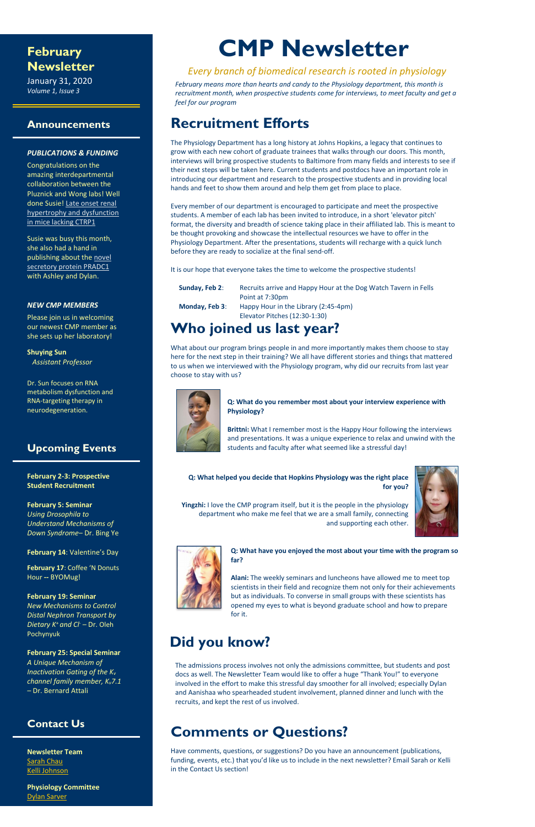### **February Newsletter**

January 31, 2020 *Volume 1, Issue 3*

#### **Announcements**

#### *PUBLICATIONS & FUNDING*

Congratulations on the amazing interdepartmental collaboration between the Pluznick and Wong labs! Well done Susie! [Late onset renal](https://www.ncbi.nlm.nih.gov/pubmed/31908037)  [hypertrophy and dysfunction](https://www.ncbi.nlm.nih.gov/pubmed/31908037)  [in mice lacking CTRP1](https://www.ncbi.nlm.nih.gov/pubmed/31908037)

Susie was busy this month, she also had a hand in publishing about the novel [secretory protein PRADC1](https://www.ncbi.nlm.nih.gov/pubmed/31689374) with Ashley and Dylan.

#### *NEW CMP MEMBERS*

Please join us in welcoming our newest CMP member as she sets up her laboratory!

**Shuying Sun** *Assistant Professor*

Dr. Sun focuses on RNA metabolism dysfunction and RNA-targeting therapy in neurodegeneration.

### **Upcoming Events**

**February 2-3: Prospective Student Recruitment**

**February 5: Seminar** *Using Drosophila to Understand Mechanisms of Down Syndrome–* Dr. Bing Ye

**February 14**: Valentine's Day

**February 17**: Coffee 'N Donuts Hour **--** BYOMug!

**February 19: Seminar** *New Mechanisms to Control* 

*Distal Nephron Transport by Dietary K<sup>+</sup>and Cl- –* Dr. Oleh Pochynyuk

**February 25: Special Seminar** *A Unique Mechanism of Inactivation Gating of the K<sup>v</sup> channel family member, Kv7.1 –* Dr. Bernard Attali

### **Contact Us**

**Newsletter Team** [Sarah Chau](mailto:schau2@jhmi.edu?subject=Newsletter) [Kelli Johnson](mailto:kjohn166@jhmi.edu?subject=Newsletter)

**Physiology Committee** [Dylan Sarver](mailto:dsarver1@jhmi.edu?subject=Newsletter)

# **CMP Newsletter**

### *Every branch of biomedical research is rooted in physiology*

*February means more than hearts and candy to the Physiology department, this month is recruitment month, when prospective students come for interviews, to meet faculty and get a feel for our program*

## **Recruitment Efforts**

The Physiology Department has a long history at Johns Hopkins, a legacy that continues to grow with each new cohort of graduate trainees that walks through our doors. This month, interviews will bring prospective students to Baltimore from many fields and interests to see if their next steps will be taken here. Current students and postdocs have an important role in introducing our department and research to the prospective students and in providing local hands and feet to show them around and help them get from place to place.

Every member of our department is encouraged to participate and meet the prospective students. A member of each lab has been invited to introduce, in a short 'elevator pitch' format, the diversity and breadth of science taking place in their affiliated lab. This is meant to be thought provoking and showcase the intellectual resources we have to offer in the Physiology Department. After the presentations, students will recharge with a quick lunch before they are ready to socialize at the final send-off.

It is our hope that everyone takes the time to welcome the prospective students!

| Sunday, Feb 2: | Recruits arrive and Happy Hour at the Dog Watch Tavern in Fells       |
|----------------|-----------------------------------------------------------------------|
|                | Point at 7:30pm                                                       |
| Monday, Feb 3: | Happy Hour in the Library (2:45-4pm)<br>Elevator Pitches (12:30-1:30) |
|                |                                                                       |

# **Who joined us last year?**

What about our program brings people in and more importantly makes them choose to stay here for the next step in their training? We all have different stories and things that mattered to us when we interviewed with the Physiology program, why did our recruits from last year choose to stay with us?



#### **Q: What do you remember most about your interview experience with Physiology?**

**Brittni:** What I remember most is the Happy Hour following the interviews and presentations. It was a unique experience to relax and unwind with the students and faculty after what seemed like a stressful day!

**Q: What helped you decide that Hopkins Physiology was the right place for you?**



**Yingzhi:** I love the CMP program itself, but it is the people in the physiology department who make me feel that we are a small family, connecting and supporting each other.



**Q: What have you enjoyed the most about your time with the program so far?**

**Alani:** The weekly seminars and luncheons have allowed me to meet top scientists in their field and recognize them not only for their achievements but as individuals. To converse in small groups with these scientists has opened my eyes to what is beyond graduate school and how to prepare

#### for it.

# **Did you know?**

The admissions process involves not only the admissions committee, but students and post docs as well. The Newsletter Team would like to offer a huge "Thank You!" to everyone involved in the effort to make this stressful day smoother for all involved; especially Dylan and Aanishaa who spearheaded student involvement, planned dinner and lunch with the recruits, and kept the rest of us involved.

# **Comments or Questions?**

Have comments, questions, or suggestions? Do you have an announcement (publications, funding, events, etc.) that you'd like us to include in the next newsletter? Email Sarah or Kelli in the Contact Us section!